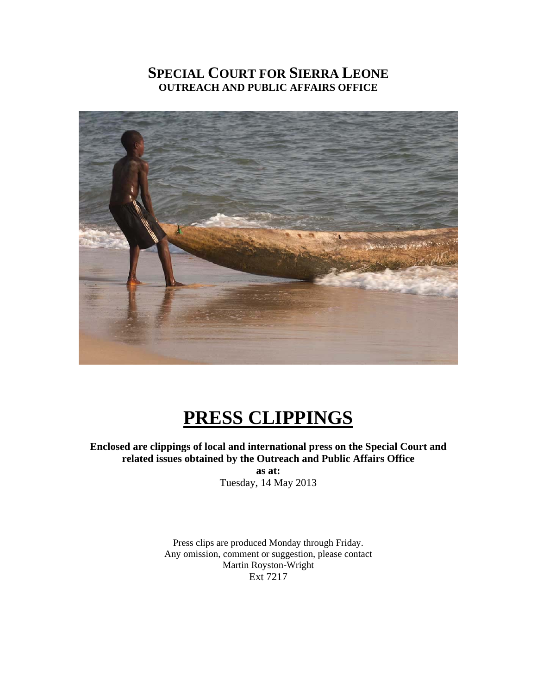# **SPECIAL COURT FOR SIERRA LEONE OUTREACH AND PUBLIC AFFAIRS OFFICE**



# **PRESS CLIPPINGS**

**Enclosed are clippings of local and international press on the Special Court and related issues obtained by the Outreach and Public Affairs Office** 

> **as at:**  Tuesday, 14 May 2013

Press clips are produced Monday through Friday. Any omission, comment or suggestion, please contact Martin Royston-Wright Ext 7217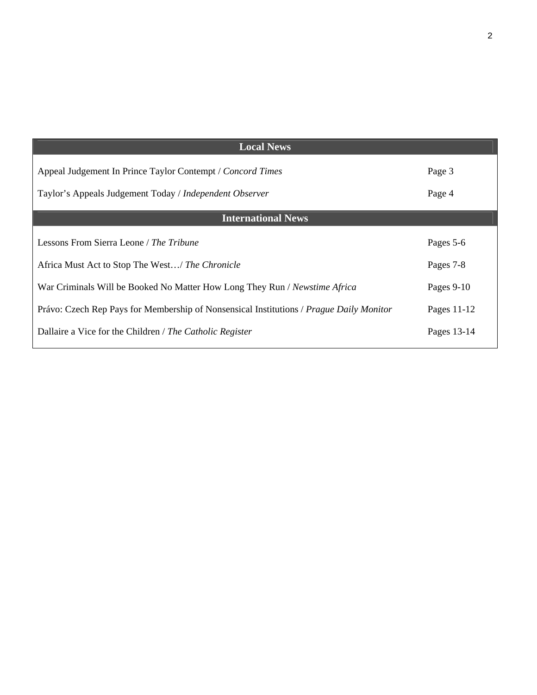| <b>Local News</b>                                                                       |               |
|-----------------------------------------------------------------------------------------|---------------|
| Appeal Judgement In Prince Taylor Contempt / Concord Times                              | Page 3        |
| Taylor's Appeals Judgement Today / Independent Observer                                 | Page 4        |
| <b>International News</b>                                                               |               |
| Lessons From Sierra Leone / The Tribune                                                 | Pages 5-6     |
| Africa Must Act to Stop The West/ The Chronicle                                         | Pages 7-8     |
| War Criminals Will be Booked No Matter How Long They Run / Newstime Africa              | Pages 9-10    |
| Právo: Czech Rep Pays for Membership of Nonsensical Institutions / Prague Daily Monitor | Pages $11-12$ |
| Dallaire a Vice for the Children / The Catholic Register                                | Pages 13-14   |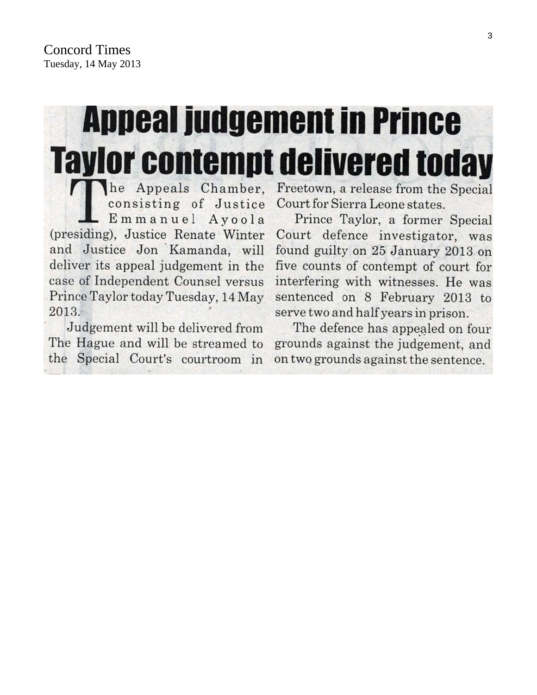# **Appeal judgement in Prince Taylor contempt delivered today**

he Appeals Chamber. consisting of Justice Emmanuel Ayoola (presiding), Justice Renate Winter and Justice Jon Kamanda, will deliver its appeal judgement in the case of Independent Counsel versus Prince Taylor today Tuesday, 14 May 2013.

Judgement will be delivered from The Hague and will be streamed to the Special Court's courtroom in

Freetown, a release from the Special Court for Sierra Leone states.

Prince Taylor, a former Special Court defence investigator, was found guilty on 25 January 2013 on five counts of contempt of court for interfering with witnesses. He was sentenced on 8 February 2013 to serve two and half years in prison.

The defence has appealed on four grounds against the judgement, and on two grounds against the sentence.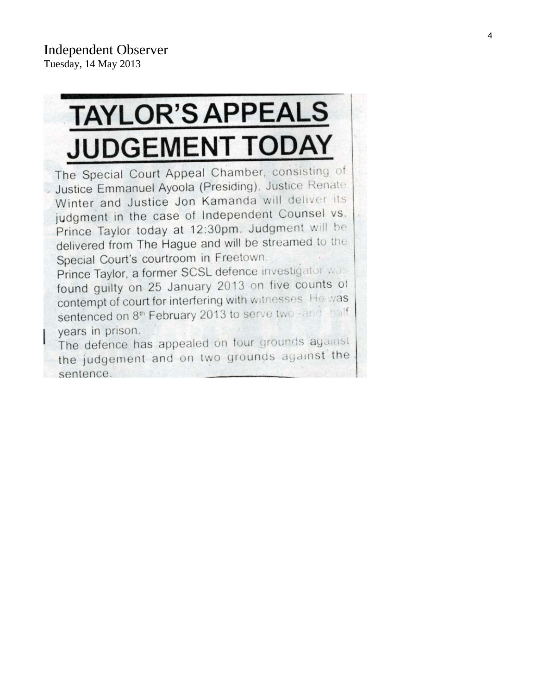# **TAYLOR'S APPEALS JUDGEMENT TODAY**

The Special Court Appeal Chamber, consisting of Justice Emmanuel Ayoola (Presiding), Justice Renate Winter and Justice Jon Kamanda will deliver its judgment in the case of Independent Counsel vs. Prince Taylor today at 12:30pm. Judgment will be delivered from The Hague and will be streamed to the Special Court's courtroom in Freetown. Prince Taylor, a former SCSL defence investigator was found guilty on 25 January 2013 on five counts of contempt of court for interfering with witnesses. He was

sentenced on 8<sup>th</sup> February 2013 to serve two -and thalf years in prison. The defence has appealed on four grounds against

the judgement and on two grounds against the sentence.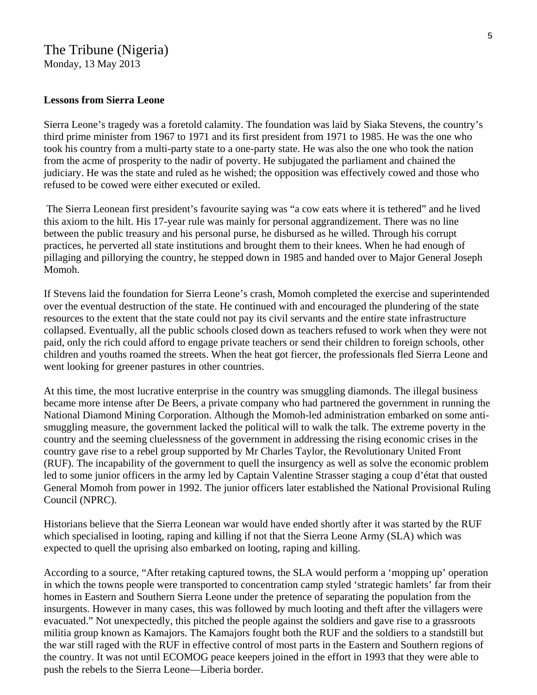# The Tribune (Nigeria)

Monday, 13 May 2013

#### **Lessons from Sierra Leone**

Sierra Leone's tragedy was a foretold calamity. The foundation was laid by Siaka Stevens, the country's third prime minister from 1967 to 1971 and its first president from 1971 to 1985. He was the one who took his country from a multi-party state to a one-party state. He was also the one who took the nation from the acme of prosperity to the nadir of poverty. He subjugated the parliament and chained the judiciary. He was the state and ruled as he wished; the opposition was effectively cowed and those who refused to be cowed were either executed or exiled.

 The Sierra Leonean first president's favourite saying was "a cow eats where it is tethered" and he lived this axiom to the hilt. His 17-year rule was mainly for personal aggrandizement. There was no line between the public treasury and his personal purse, he disbursed as he willed. Through his corrupt practices, he perverted all state institutions and brought them to their knees. When he had enough of pillaging and pillorying the country, he stepped down in 1985 and handed over to Major General Joseph Momoh.

If Stevens laid the foundation for Sierra Leone's crash, Momoh completed the exercise and superintended over the eventual destruction of the state. He continued with and encouraged the plundering of the state resources to the extent that the state could not pay its civil servants and the entire state infrastructure collapsed. Eventually, all the public schools closed down as teachers refused to work when they were not paid, only the rich could afford to engage private teachers or send their children to foreign schools, other children and youths roamed the streets. When the heat got fiercer, the professionals fled Sierra Leone and went looking for greener pastures in other countries.

At this time, the most lucrative enterprise in the country was smuggling diamonds. The illegal business became more intense after De Beers, a private company who had partnered the government in running the National Diamond Mining Corporation. Although the Momoh-led administration embarked on some antismuggling measure, the government lacked the political will to walk the talk. The extreme poverty in the country and the seeming cluelessness of the government in addressing the rising economic crises in the country gave rise to a rebel group supported by Mr Charles Taylor, the Revolutionary United Front (RUF). The incapability of the government to quell the insurgency as well as solve the economic problem led to some junior officers in the army led by Captain Valentine Strasser staging a coup d'état that ousted General Momoh from power in 1992. The junior officers later established the National Provisional Ruling Council (NPRC).

Historians believe that the Sierra Leonean war would have ended shortly after it was started by the RUF which specialised in looting, raping and killing if not that the Sierra Leone Army (SLA) which was expected to quell the uprising also embarked on looting, raping and killing.

According to a source, "After retaking captured towns, the SLA would perform a 'mopping up' operation in which the towns people were transported to concentration camp styled 'strategic hamlets' far from their homes in Eastern and Southern Sierra Leone under the pretence of separating the population from the insurgents. However in many cases, this was followed by much looting and theft after the villagers were evacuated." Not unexpectedly, this pitched the people against the soldiers and gave rise to a grassroots militia group known as Kamajors. The Kamajors fought both the RUF and the soldiers to a standstill but the war still raged with the RUF in effective control of most parts in the Eastern and Southern regions of the country. It was not until ECOMOG peace keepers joined in the effort in 1993 that they were able to push the rebels to the Sierra Leone—Liberia border.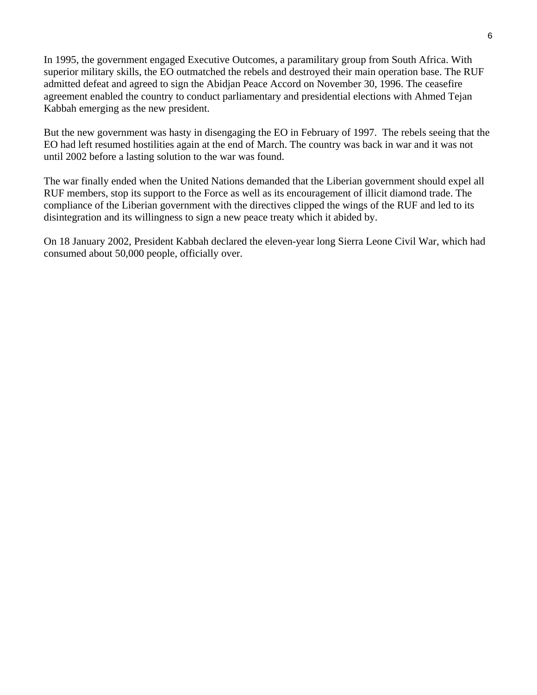In 1995, the government engaged Executive Outcomes, a paramilitary group from South Africa. With superior military skills, the EO outmatched the rebels and destroyed their main operation base. The RUF admitted defeat and agreed to sign the Abidjan Peace Accord on November 30, 1996. The ceasefire agreement enabled the country to conduct parliamentary and presidential elections with Ahmed Tejan Kabbah emerging as the new president.

But the new government was hasty in disengaging the EO in February of 1997. The rebels seeing that the EO had left resumed hostilities again at the end of March. The country was back in war and it was not until 2002 before a lasting solution to the war was found.

The war finally ended when the United Nations demanded that the Liberian government should expel all RUF members, stop its support to the Force as well as its encouragement of illicit diamond trade. The compliance of the Liberian government with the directives clipped the wings of the RUF and led to its disintegration and its willingness to sign a new peace treaty which it abided by.

On 18 January 2002, President Kabbah declared the eleven-year long Sierra Leone Civil War, which had consumed about 50,000 people, officially over.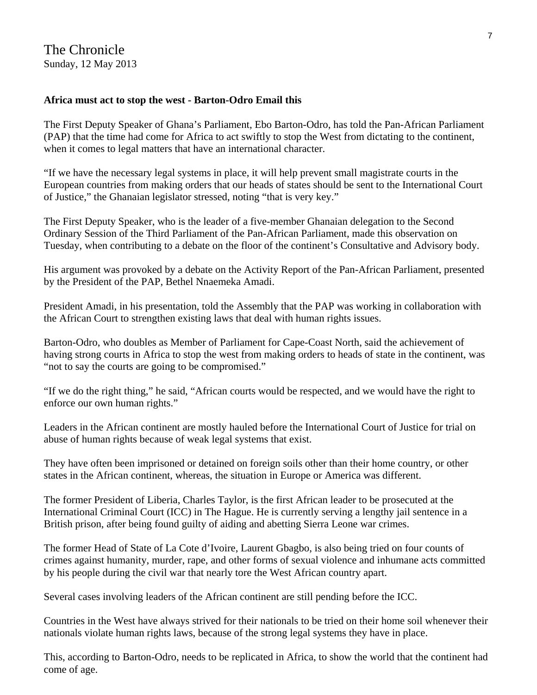### **Africa must act to stop the west - Barton-Odro Email this**

The First Deputy Speaker of Ghana's Parliament, Ebo Barton-Odro, has told the Pan-African Parliament (PAP) that the time had come for Africa to act swiftly to stop the West from dictating to the continent, when it comes to legal matters that have an international character.

"If we have the necessary legal systems in place, it will help prevent small magistrate courts in the European countries from making orders that our heads of states should be sent to the International Court of Justice," the Ghanaian legislator stressed, noting "that is very key."

The First Deputy Speaker, who is the leader of a five-member Ghanaian delegation to the Second Ordinary Session of the Third Parliament of the Pan-African Parliament, made this observation on Tuesday, when contributing to a debate on the floor of the continent's Consultative and Advisory body.

His argument was provoked by a debate on the Activity Report of the Pan-African Parliament, presented by the President of the PAP, Bethel Nnaemeka Amadi.

President Amadi, in his presentation, told the Assembly that the PAP was working in collaboration with the African Court to strengthen existing laws that deal with human rights issues.

Barton-Odro, who doubles as Member of Parliament for Cape-Coast North, said the achievement of having strong courts in Africa to stop the west from making orders to heads of state in the continent, was "not to say the courts are going to be compromised."

"If we do the right thing," he said, "African courts would be respected, and we would have the right to enforce our own human rights."

Leaders in the African continent are mostly hauled before the International Court of Justice for trial on abuse of human rights because of weak legal systems that exist.

They have often been imprisoned or detained on foreign soils other than their home country, or other states in the African continent, whereas, the situation in Europe or America was different.

The former President of Liberia, Charles Taylor, is the first African leader to be prosecuted at the International Criminal Court (ICC) in The Hague. He is currently serving a lengthy jail sentence in a British prison, after being found guilty of aiding and abetting Sierra Leone war crimes.

The former Head of State of La Cote d'Ivoire, Laurent Gbagbo, is also being tried on four counts of crimes against humanity, murder, rape, and other forms of sexual violence and inhumane acts committed by his people during the civil war that nearly tore the West African country apart.

Several cases involving leaders of the African continent are still pending before the ICC.

Countries in the West have always strived for their nationals to be tried on their home soil whenever their nationals violate human rights laws, because of the strong legal systems they have in place.

This, according to Barton-Odro, needs to be replicated in Africa, to show the world that the continent had come of age.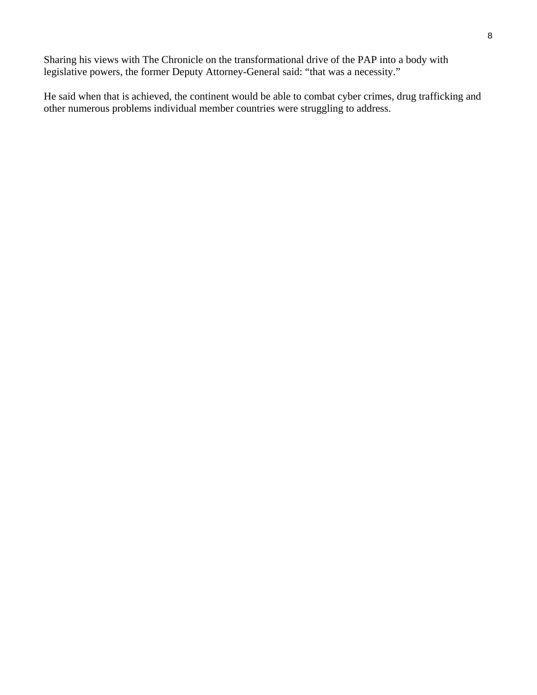Sharing his views with The Chronicle on the transformational drive of the PAP into a body with legislative powers, the former Deputy Attorney-General said: "that was a necessity."

He said when that is achieved, the continent would be able to combat cyber crimes, drug trafficking and other numerous problems individual member countries were struggling to address.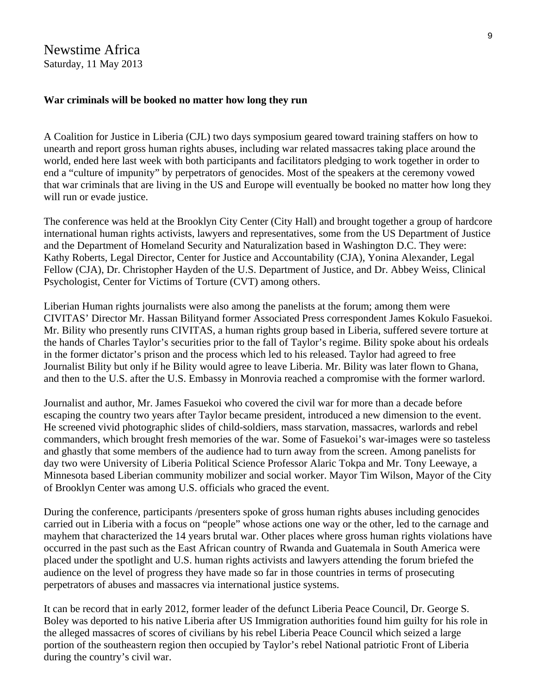Newstime Africa Saturday, 11 May 2013

#### **War criminals will be booked no matter how long they run**

A Coalition for Justice in Liberia (CJL) two days symposium geared toward training staffers on how to unearth and report gross human rights abuses, including war related massacres taking place around the world, ended here last week with both participants and facilitators pledging to work together in order to end a "culture of impunity" by perpetrators of genocides. Most of the speakers at the ceremony vowed that war criminals that are living in the US and Europe will eventually be booked no matter how long they will run or evade justice.

The conference was held at the Brooklyn City Center (City Hall) and brought together a group of hardcore international human rights activists, lawyers and representatives, some from the US Department of Justice and the Department of Homeland Security and Naturalization based in Washington D.C. They were: Kathy Roberts, Legal Director, Center for Justice and Accountability (CJA), Yonina Alexander, Legal Fellow (CJA), Dr. Christopher Hayden of the U.S. Department of Justice, and Dr. Abbey Weiss, Clinical Psychologist, Center for Victims of Torture (CVT) among others.

Liberian Human rights journalists were also among the panelists at the forum; among them were CIVITAS' Director Mr. Hassan Bilityand former Associated Press correspondent James Kokulo Fasuekoi. Mr. Bility who presently runs CIVITAS, a human rights group based in Liberia, suffered severe torture at the hands of Charles Taylor's securities prior to the fall of Taylor's regime. Bility spoke about his ordeals in the former dictator's prison and the process which led to his released. Taylor had agreed to free Journalist Bility but only if he Bility would agree to leave Liberia. Mr. Bility was later flown to Ghana, and then to the U.S. after the U.S. Embassy in Monrovia reached a compromise with the former warlord.

Journalist and author, Mr. James Fasuekoi who covered the civil war for more than a decade before escaping the country two years after Taylor became president, introduced a new dimension to the event. He screened vivid photographic slides of child-soldiers, mass starvation, massacres, warlords and rebel commanders, which brought fresh memories of the war. Some of Fasuekoi's war-images were so tasteless and ghastly that some members of the audience had to turn away from the screen. Among panelists for day two were University of Liberia Political Science Professor Alaric Tokpa and Mr. Tony Leewaye, a Minnesota based Liberian community mobilizer and social worker. Mayor Tim Wilson, Mayor of the City of Brooklyn Center was among U.S. officials who graced the event.

During the conference, participants /presenters spoke of gross human rights abuses including genocides carried out in Liberia with a focus on "people" whose actions one way or the other, led to the carnage and mayhem that characterized the 14 years brutal war. Other places where gross human rights violations have occurred in the past such as the East African country of Rwanda and Guatemala in South America were placed under the spotlight and U.S. human rights activists and lawyers attending the forum briefed the audience on the level of progress they have made so far in those countries in terms of prosecuting perpetrators of abuses and massacres via international justice systems.

It can be record that in early 2012, former leader of the defunct Liberia Peace Council, Dr. George S. Boley was deported to his native Liberia after US Immigration authorities found him guilty for his role in the alleged massacres of scores of civilians by his rebel Liberia Peace Council which seized a large portion of the southeastern region then occupied by Taylor's rebel National patriotic Front of Liberia during the country's civil war.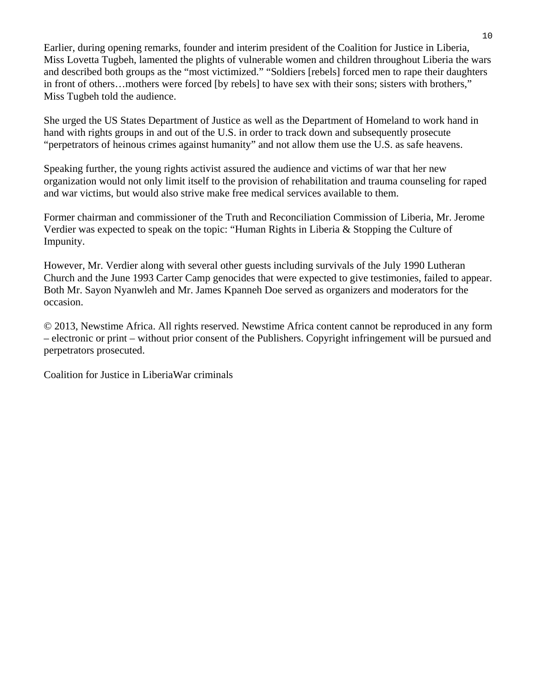Earlier, during opening remarks, founder and interim president of the Coalition for Justice in Liberia, Miss Lovetta Tugbeh, lamented the plights of vulnerable women and children throughout Liberia the wars and described both groups as the "most victimized." "Soldiers [rebels] forced men to rape their daughters in front of others…mothers were forced [by rebels] to have sex with their sons; sisters with brothers," Miss Tugbeh told the audience.

She urged the US States Department of Justice as well as the Department of Homeland to work hand in hand with rights groups in and out of the U.S. in order to track down and subsequently prosecute "perpetrators of heinous crimes against humanity" and not allow them use the U.S. as safe heavens.

Speaking further, the young rights activist assured the audience and victims of war that her new organization would not only limit itself to the provision of rehabilitation and trauma counseling for raped and war victims, but would also strive make free medical services available to them.

Former chairman and commissioner of the Truth and Reconciliation Commission of Liberia, Mr. Jerome Verdier was expected to speak on the topic: "Human Rights in Liberia & Stopping the Culture of Impunity.

However, Mr. Verdier along with several other guests including survivals of the July 1990 Lutheran Church and the June 1993 Carter Camp genocides that were expected to give testimonies, failed to appear. Both Mr. Sayon Nyanwleh and Mr. James Kpanneh Doe served as organizers and moderators for the occasion.

© 2013, Newstime Africa. All rights reserved. Newstime Africa content cannot be reproduced in any form – electronic or print – without prior consent of the Publishers. Copyright infringement will be pursued and perpetrators prosecuted.

Coalition for Justice in LiberiaWar criminals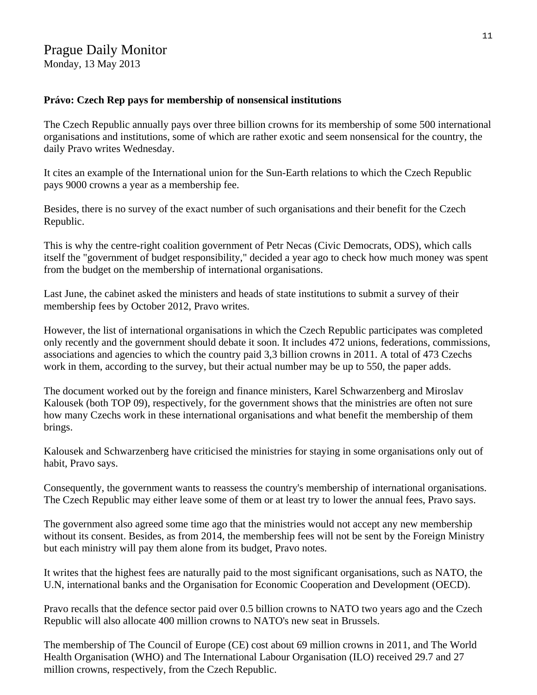# Prague Daily Monitor

Monday, 13 May 2013

### **Právo: Czech Rep pays for membership of nonsensical institutions**

The Czech Republic annually pays over three billion crowns for its membership of some 500 international organisations and institutions, some of which are rather exotic and seem nonsensical for the country, the daily Pravo writes Wednesday.

It cites an example of the International union for the Sun-Earth relations to which the Czech Republic pays 9000 crowns a year as a membership fee.

Besides, there is no survey of the exact number of such organisations and their benefit for the Czech Republic.

This is why the centre-right coalition government of Petr Necas (Civic Democrats, ODS), which calls itself the "government of budget responsibility," decided a year ago to check how much money was spent from the budget on the membership of international organisations.

Last June, the cabinet asked the ministers and heads of state institutions to submit a survey of their membership fees by October 2012, Pravo writes.

However, the list of international organisations in which the Czech Republic participates was completed only recently and the government should debate it soon. It includes 472 unions, federations, commissions, associations and agencies to which the country paid 3,3 billion crowns in 2011. A total of 473 Czechs work in them, according to the survey, but their actual number may be up to 550, the paper adds.

The document worked out by the foreign and finance ministers, Karel Schwarzenberg and Miroslav Kalousek (both TOP 09), respectively, for the government shows that the ministries are often not sure how many Czechs work in these international organisations and what benefit the membership of them brings.

Kalousek and Schwarzenberg have criticised the ministries for staying in some organisations only out of habit, Pravo says.

Consequently, the government wants to reassess the country's membership of international organisations. The Czech Republic may either leave some of them or at least try to lower the annual fees, Pravo says.

The government also agreed some time ago that the ministries would not accept any new membership without its consent. Besides, as from 2014, the membership fees will not be sent by the Foreign Ministry but each ministry will pay them alone from its budget, Pravo notes.

It writes that the highest fees are naturally paid to the most significant organisations, such as NATO, the U.N, international banks and the Organisation for Economic Cooperation and Development (OECD).

Pravo recalls that the defence sector paid over 0.5 billion crowns to NATO two years ago and the Czech Republic will also allocate 400 million crowns to NATO's new seat in Brussels.

The membership of The Council of Europe (CE) cost about 69 million crowns in 2011, and The World Health Organisation (WHO) and The International Labour Organisation (ILO) received 29.7 and 27 million crowns, respectively, from the Czech Republic.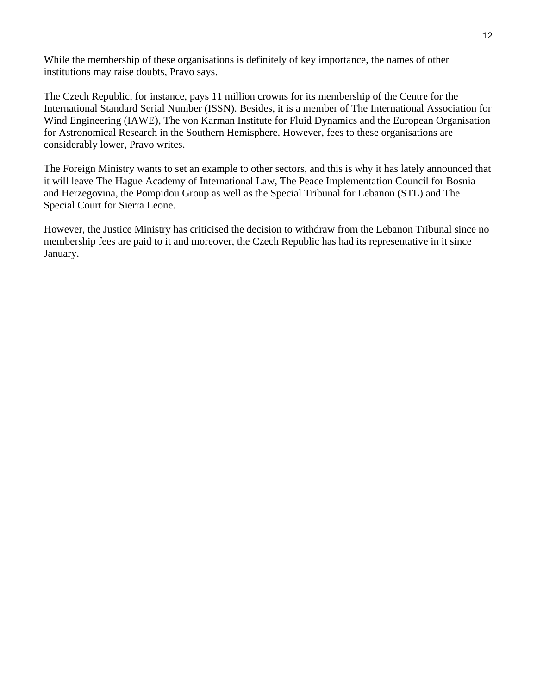While the membership of these organisations is definitely of key importance, the names of other institutions may raise doubts, Pravo says.

The Czech Republic, for instance, pays 11 million crowns for its membership of the Centre for the International Standard Serial Number (ISSN). Besides, it is a member of The International Association for Wind Engineering (IAWE), The von Karman Institute for Fluid Dynamics and the European Organisation for Astronomical Research in the Southern Hemisphere. However, fees to these organisations are considerably lower, Pravo writes.

The Foreign Ministry wants to set an example to other sectors, and this is why it has lately announced that it will leave The Hague Academy of International Law, The Peace Implementation Council for Bosnia and Herzegovina, the Pompidou Group as well as the Special Tribunal for Lebanon (STL) and The Special Court for Sierra Leone.

However, the Justice Ministry has criticised the decision to withdraw from the Lebanon Tribunal since no membership fees are paid to it and moreover, the Czech Republic has had its representative in it since January.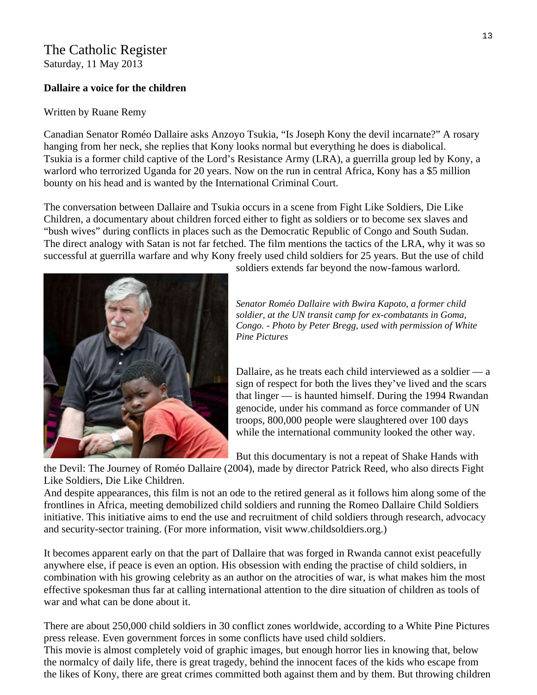# The Catholic Register

Saturday, 11 May 2013

## **Dallaire a voice for the children**

## Written by [Ruane Remy](http://www.catholicregister.org/arts/movie-news/itemlist/user/2080-ruaneremythecatholicregister)

Canadian Senator Roméo Dallaire asks Anzoyo Tsukia, "Is Joseph Kony the devil incarnate?" A rosary hanging from her neck, she replies that Kony looks normal but everything he does is diabolical. Tsukia is a former child captive of the Lord's Resistance Army (LRA), a guerrilla group led by Kony, a warlord who terrorized Uganda for 20 years. Now on the run in central Africa, Kony has a \$5 million bounty on his head and is wanted by the International Criminal Court.

The conversation between Dallaire and Tsukia occurs in a scene from Fight Like Soldiers, Die Like Children, a documentary about children forced either to fight as soldiers or to become sex slaves and "bush wives" during conflicts in places such as the Democratic Republic of Congo and South Sudan. The direct analogy with Satan is not far fetched. The film mentions the tactics of the LRA, why it was so successful at guerrilla warfare and why Kony freely used child soldiers for 25 years. But the use of child



soldiers extends far beyond the now-famous warlord.

*Senator Roméo Dallaire with Bwira Kapoto, a former child soldier, at the UN transit camp for ex-combatants in Goma, Congo. - Photo by Peter Bregg, used with permission of White Pine Pictures* 

Dallaire, as he treats each child interviewed as a soldier — a sign of respect for both the lives they've lived and the scars that linger — is haunted himself. During the 1994 Rwandan genocide, under his command as force commander of UN troops, 800,000 people were slaughtered over 100 days while the international community looked the other way.

But this documentary is not a repeat of Shake Hands with

the Devil: The Journey of Roméo Dallaire (2004), made by director Patrick Reed, who also directs Fight Like Soldiers, Die Like Children.

And despite appearances, this film is not an ode to the retired general as it follows him along some of the frontlines in Africa, meeting demobilized child soldiers and running the Romeo Dallaire Child Soldiers initiative. This initiative aims to end the use and recruitment of child soldiers through research, advocacy and security-sector training. (For more information, visit [www.childsoldiers.org](http://www.childsoldiers.org/).)

It becomes apparent early on that the part of Dallaire that was forged in Rwanda cannot exist peacefully anywhere else, if peace is even an option. His obsession with ending the practise of child soldiers, in combination with his growing celebrity as an author on the atrocities of war, is what makes him the most effective spokesman thus far at calling international attention to the dire situation of children as tools of war and what can be done about it.

There are about 250,000 child soldiers in 30 conflict zones worldwide, according to a White Pine Pictures press release. Even government forces in some conflicts have used child soldiers.

This movie is almost completely void of graphic images, but enough horror lies in knowing that, below the normalcy of daily life, there is great tragedy, behind the innocent faces of the kids who escape from the likes of Kony, there are great crimes committed both against them and by them. But throwing children